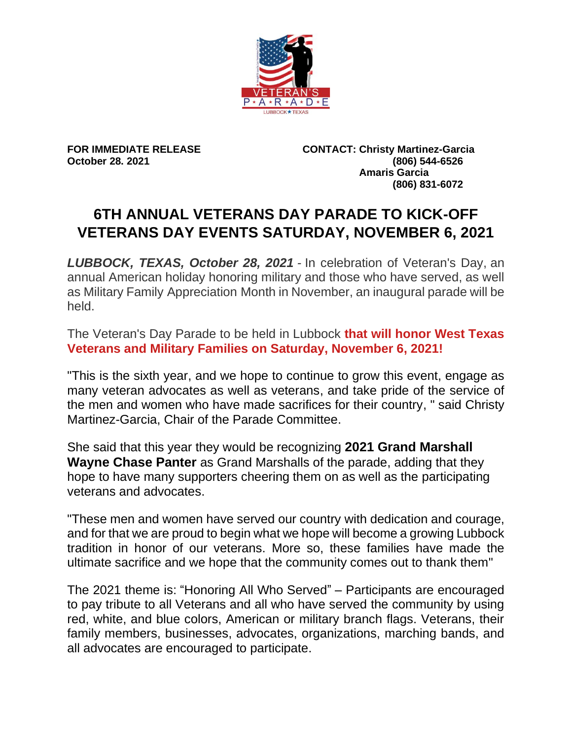

**FOR IMMEDIATE RELEASE CONTACT: Christy Martinez-Garcia October 28. 2021 (806) 544-6526 Amaris Garcia (806) 831-6072**

## **6TH ANNUAL VETERANS DAY PARADE TO KICK-OFF VETERANS DAY EVENTS SATURDAY, NOVEMBER 6, 2021**

*LUBBOCK, TEXAS, October 28, 2021 -* In celebration of Veteran's Day, an annual American holiday honoring military and those who have served, as well as Military Family Appreciation Month in November, an inaugural parade will be held.

The Veteran's Day Parade to be held in Lubbock **that will honor West Texas Veterans and Military Families on Saturday, November 6, 2021!**

"This is the sixth year, and we hope to continue to grow this event, engage as many veteran advocates as well as veterans, and take pride of the service of the men and women who have made sacrifices for their country, " said Christy Martinez-Garcia, Chair of the Parade Committee.

She said that this year they would be recognizing **2021 Grand Marshall Wayne Chase Panter** as Grand Marshalls of the parade, adding that they hope to have many supporters cheering them on as well as the participating veterans and advocates.

"These men and women have served our country with dedication and courage, and for that we are proud to begin what we hope will become a growing Lubbock tradition in honor of our veterans. More so, these families have made the ultimate sacrifice and we hope that the community comes out to thank them"

The 2021 theme is: "Honoring All Who Served" – Participants are encouraged to pay tribute to all Veterans and all who have served the community by using red, white, and blue colors, American or military branch flags. Veterans, their family members, businesses, advocates, organizations, marching bands, and all advocates are encouraged to participate.